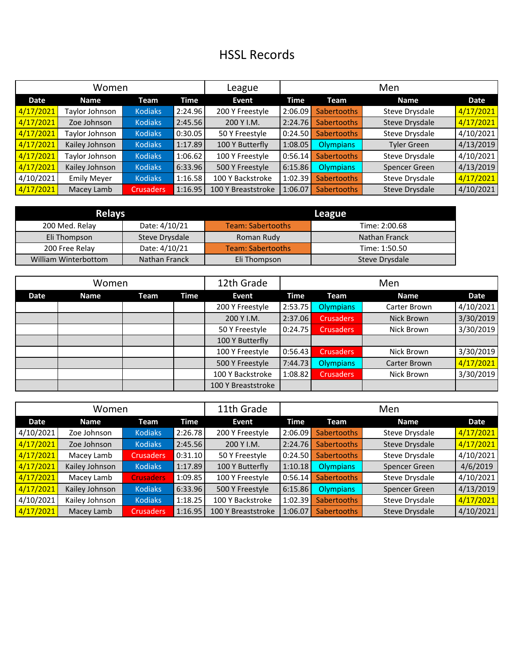## HSSL Records

| Women     |                    |                  |         | League             | Men     |                    |                    |           |
|-----------|--------------------|------------------|---------|--------------------|---------|--------------------|--------------------|-----------|
| Date      | <b>Name</b>        | Team             | Time    | Event              | Time    | Team               | <b>Name</b>        | Date      |
| 4/17/2021 | Taylor Johnson     | <b>Kodiaks</b>   | 2:24.96 | 200 Y Freestyle    | 2:06.09 | <b>Sabertooths</b> | Steve Drysdale     | 4/17/2021 |
| 4/17/2021 | Zoe Johnson        | <b>Kodiaks</b>   | 2:45.56 | 200 Y I.M.         | 2:24.76 | <b>Sabertooths</b> | Steve Drysdale     | 4/17/2021 |
| 4/17/2021 | Taylor Johnson     | <b>Kodiaks</b>   | 0:30.05 | 50 Y Freestyle     | 0:24.50 | <b>Sabertooths</b> | Steve Drysdale     | 4/10/2021 |
| 4/17/2021 | Kailey Johnson     | <b>Kodiaks</b>   | 1:17.89 | 100 Y Butterfly    | 1:08.05 | Olympians          | <b>Tyler Green</b> | 4/13/2019 |
| 4/17/2021 | Taylor Johnson     | <b>Kodiaks</b>   | 1:06.62 | 100 Y Freestyle    | 0:56.14 | <b>Sabertooths</b> | Steve Drysdale     | 4/10/2021 |
| 4/17/2021 | Kailey Johnson     | <b>Kodiaks</b>   | 6:33.96 | 500 Y Freestyle    | 6:15.86 | Olympians          | Spencer Green      | 4/13/2019 |
| 4/10/2021 | <b>Emily Meyer</b> | <b>Kodiaks</b>   | 1:16.58 | 100 Y Backstroke   | 1:02.39 | <b>Sabertooths</b> | Steve Drysdale     | 4/17/2021 |
| 4/17/2021 | Macey Lamb         | <b>Crusaders</b> | 1:16.95 | 100 Y Breaststroke | 1:06.07 | <b>Sabertooths</b> | Steve Drysdale     | 4/10/2021 |

| <b>Relays</b>        |                | League                   |                |  |  |  |
|----------------------|----------------|--------------------------|----------------|--|--|--|
| 200 Med. Relay       | Date: 4/10/21  | <b>Team: Sabertooths</b> | Time: 2:00.68  |  |  |  |
| Eli Thompson         | Steve Drysdale | Roman Rudy               | Nathan Franck  |  |  |  |
| 200 Free Relay       | Date: 4/10/21  | <b>Team: Sabertooths</b> | Time: 1:50.50  |  |  |  |
| William Winterbottom | Nathan Franck  | Eli Thompson             | Steve Drysdale |  |  |  |

| Women |             |      |      | 12th Grade         | Men     |                  |              |           |
|-------|-------------|------|------|--------------------|---------|------------------|--------------|-----------|
| Date  | <b>Name</b> | Team | Time | Event              | Time    | Team             | <b>Name</b>  | Date      |
|       |             |      |      | 200 Y Freestyle    | 2:53.75 | <b>Olympians</b> | Carter Brown | 4/10/2021 |
|       |             |      |      | 200 Y I.M.         | 2:37.06 | <b>Crusaders</b> | Nick Brown   | 3/30/2019 |
|       |             |      |      | 50 Y Freestyle     | 0:24.75 | <b>Crusaders</b> | Nick Brown   | 3/30/2019 |
|       |             |      |      | 100 Y Butterfly    |         |                  |              |           |
|       |             |      |      | 100 Y Freestyle    | 0:56.43 | <b>Crusaders</b> | Nick Brown   | 3/30/2019 |
|       |             |      |      | 500 Y Freestyle    | 7:44.73 | <b>Olympians</b> | Carter Brown | 4/17/2021 |
|       |             |      |      | 100 Y Backstroke   | 1:08.82 | <b>Crusaders</b> | Nick Brown   | 3/30/2019 |
|       |             |      |      | 100 Y Breaststroke |         |                  |              |           |

| Women     |                |                  |         | 11th Grade         | Men     |                    |                |           |
|-----------|----------------|------------------|---------|--------------------|---------|--------------------|----------------|-----------|
| Date      | <b>Name</b>    | Team             | Time    | Event              | Time    | Team               | <b>Name</b>    | Date      |
| 4/10/2021 | Zoe Johnson    | <b>Kodiaks</b>   | 2:26.78 | 200 Y Freestyle    | 2:06.09 | <b>Sabertooths</b> | Steve Drysdale | 4/17/2021 |
| 4/17/2021 | Zoe Johnson    | <b>Kodiaks</b>   | 2:45.56 | 200 Y I.M.         | 2:24.76 | <b>Sabertooths</b> | Steve Drysdale | 4/17/2021 |
| 4/17/2021 | Macey Lamb     | <b>Crusaders</b> | 0:31.10 | 50 Y Freestyle     | 0:24.50 | <b>Sabertooths</b> | Steve Drysdale | 4/10/2021 |
| 4/17/2021 | Kailey Johnson | <b>Kodiaks</b>   | 1:17.89 | 100 Y Butterfly    | 1:10.18 | <b>Olympians</b>   | Spencer Green  | 4/6/2019  |
| 4/17/2021 | Macey Lamb     | <b>Crusaders</b> | 1:09.85 | 100 Y Freestyle    | 0:56.14 | <b>Sabertooths</b> | Steve Drysdale | 4/10/2021 |
| 4/17/2021 | Kailey Johnson | <b>Kodiaks</b>   | 6:33.96 | 500 Y Freestyle    | 6:15.86 | <b>Olympians</b>   | Spencer Green  | 4/13/2019 |
| 4/10/2021 | Kailey Johnson | <b>Kodiaks</b>   | 1:18.25 | 100 Y Backstroke   | 1:02.39 | <b>Sabertooths</b> | Steve Drysdale | 4/17/2021 |
| 4/17/2021 | Macey Lamb     | Crusaders        | 1:16.95 | 100 Y Breaststroke | 1:06.07 | <b>Sabertooths</b> | Steve Drysdale | 4/10/2021 |